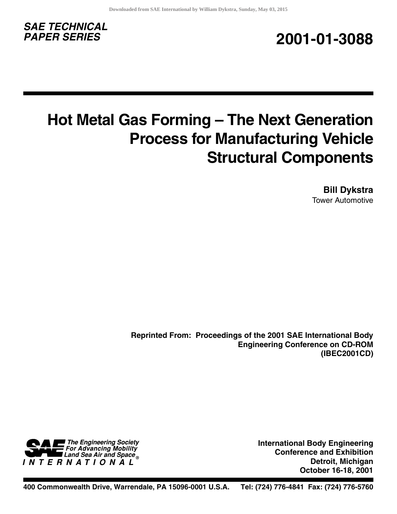

*PAPER SERIES* **2001-01-3088**

# **Hot Metal Gas Forming – The Next Generation Process for Manufacturing Vehicle Structural Components**

**Bill Dykstra** Tower Automotive

**Reprinted From: Proceedings of the 2001 SAE International Body Engineering Conference on CD-ROM (IBEC2001CD)**

The Engineering Society<br>  $\blacksquare$  For Advancing Mobility<br>  $\blacksquare$  Land Sea Air and Space T E R N A T I O N A L

**International Body Engineering Conference and Exhibition Detroit, Michigan October 16-18, 2001**

**400 Commonwealth Drive, Warrendale, PA 15096-0001 U.S.A. Tel: (724) 776-4841 Fax: (724) 776-5760**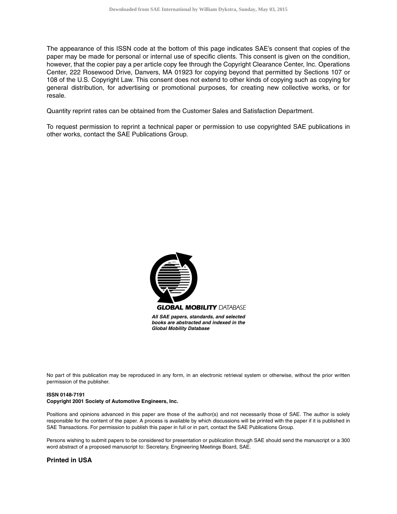The appearance of this ISSN code at the bottom of this page indicates SAE's consent that copies of the paper may be made for personal or internal use of specific clients. This consent is given on the condition, however, that the copier pay a per article copy fee through the Copyright Clearance Center, Inc. Operations Center, 222 Rosewood Drive, Danvers, MA 01923 for copying beyond that permitted by Sections 107 or 108 of the U.S. Copyright Law. This consent does not extend to other kinds of copying such as copying for general distribution, for advertising or promotional purposes, for creating new collective works, or for resale.

Quantity reprint rates can be obtained from the Customer Sales and Satisfaction Department.

To request permission to reprint a technical paper or permission to use copyrighted SAE publications in other works, contact the SAE Publications Group.



No part of this publication may be reproduced in any form, in an electronic retrieval system or otherwise, without the prior written permission of the publisher.

#### **ISSN 0148-7191 Copyright 2001 Society of Automotive Engineers, Inc.**

Positions and opinions advanced in this paper are those of the author(s) and not necessarily those of SAE. The author is solely responsible for the content of the paper. A process is available by which discussions will be printed with the paper if it is published in SAE Transactions. For permission to publish this paper in full or in part, contact the SAE Publications Group.

Persons wishing to submit papers to be considered for presentation or publication through SAE should send the manuscript or a 300 word abstract of a proposed manuscript to: Secretary, Engineering Meetings Board, SAE.

## **Printed in USA**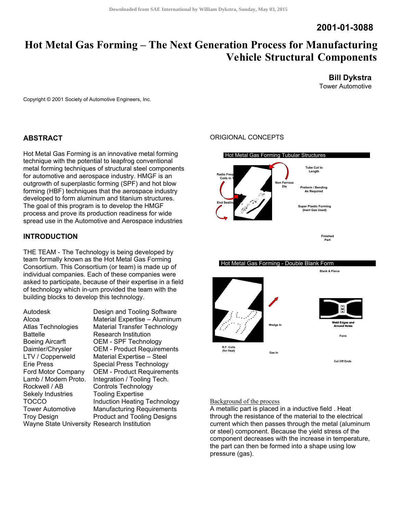**2001-01-3088** 

## **Hot Metal Gas Forming – The Next Generation Process for Manufacturing Vehicle Structural Components**

**Bill Dykstra**  Tower Automotive

Copyright © 2001 Society of Automotive Engineers, Inc.

## **ABSTRACT**

Hot Metal Gas Forming is an innovative metal forming technique with the potential to leapfrog conventional metal forming techniques of structural steel components for automotive and aerospace industry. HMGF is an outgrowth of superplastic forming (SPF) and hot blow forming (HBF) techniques that the aerospace industry developed to form aluminum and titanium structures. The goal of this program is to develop the HMGF process and prove its production readiness for wide spread use in the Automotive and Aerospace industries

## **INTRODUCTION**

THE TEAM - The Technology is being developed by team formally known as the Hot Metal Gas Forming Consortium. This Consortium (or team) is made up of individual companies. Each of these companies were asked to participate, because of their expertise in a field of technology which in-urn provided the team with the building blocks to develop this technology.

Battelle Research Institution Boeing Aircarft OEM - SPF Technology Rockwell / AB Controls Technology Sekely Industries Tooling Expertise Wayne State University Research Institution

Autodesk Design and Tooling Software Alcoa Material Expertise – Aluminum Atlas Technologies Material Transfer Technology Daimler/Chrysler OEM - Product Requirements LTV / Copperweld Material Expertise – Steel Erie Press Special Press Technology Ford Motor Company OEM - Product Requirements Lamb / Modern Proto. Integration / Tooling Tech. TOCCO Induction Heating Technology Tower Automotive Manufacturing Requirements Troy Design Product and Tooling Designs

## ORIGIONAL CONCEPTS





Background of the process

A metallic part is placed in a inductive field . Heat through the resistance of the material to the electrical current which then passes through the metal (aluminum or steel) component. Because the yield stress of the component decreases with the increase in temperature, the part can then be formed into a shape using low pressure (gas).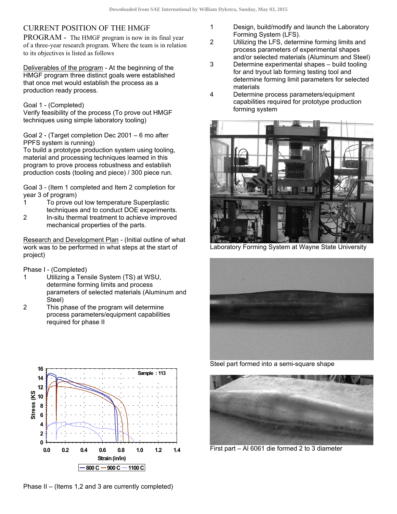## CURRENT POSITION OF THE HMGF

PROGRAM - The HMGF program is now in its final year of a three-year research program. Where the team is in relation to its objectives is listed as follows

Deliverables of the program - At the beginning of the HMGF program three distinct goals were established that once met would establish the process as a production ready process.

## Goal 1 - (Completed)

Verify feasibility of the process (To prove out HMGF techniques using simple laboratory tooling)

Goal 2 - (Target completion Dec 2001 – 6 mo after PPFS system is running)

To build a prototype production system using tooling, material and processing techniques learned in this program to prove process robustness and establish production costs (tooling and piece) / 300 piece run.

Goal 3 - (Item 1 completed and Item 2 completion for year 3 of program)

- 1 To prove out low temperature Superplastic techniques and to conduct DOE experiments.
- 2 In-situ thermal treatment to achieve improved mechanical properties of the parts.

Research and Development Plan - (Initial outline of what work was to be performed in what steps at the start of project)

Phase I - (Completed)

- 1 Utilizing a Tensile System (TS) at WSU, determine forming limits and process parameters of selected materials (Aluminum and Steel)
- 2 This phase of the program will determine process parameters/equipment capabilities required for phase II



Phase II – (Items 1,2 and 3 are currently completed)

- 1 Design, build/modify and launch the Laboratory Forming System (LFS).
- 2 Utilizing the LFS, determine forming limits and process parameters of experimental shapes and/or selected materials (Aluminum and Steel)
- 3 Determine experimental shapes build tooling for and tryout lab forming testing tool and determine forming limit parameters for selected materials
- 4 Determine process parameters/equipment capabilities required for prototype production forming system



Laboratory Forming System at Wayne State University



Steel part formed into a semi-square shape



First part – Al 6061 die formed 2 to 3 diameter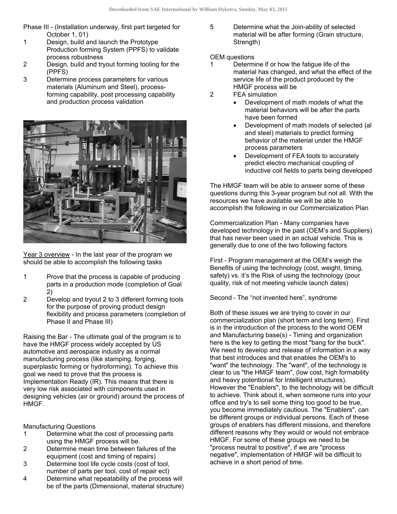Phase III - (Installation underway, first part targeted for October 1, 01)

- 1 Design, build and launch the Prototype Production forming System (PPFS) to validate process robustness
- 2 Design, build and tryout forming tooling for the (PPFS)
- 3 Determine process parameters for various materials (Aluminum and Steel), processforming capability, post processing capability and production process validation



Year 3 overview - In the last year of the program we should be able to accomplish the following tasks

- 1 Prove that the process is capable of producing parts in a production mode (completion of Goal 2)
- 2 Develop and tryout 2 to 3 different forming tools for the purpose of proving product design flexibility and process parameters (completion of Phase II and Phase III)

Raising the Bar - The ultimate goal of the program is to have the HMGF process widely accepted by US automotive and aerospace industry as a normal manufacturing process (like stamping, forging, superplastic forming or hydroforming). To achieve this goal we need to prove that the process is Implementation Ready (IR). This means that there is very low risk associated with components used in designing vehicles (air or ground) around the process of HMGF.

Manufacturing Questions

- 1 Determine what the cost of processing parts using the HMGF process will be.
- 2 Determine mean time between failures of the equipment (cost and timing of repairs)
- 3 Determine tool life cycle costs (cost of tool, number of parts per tool, cost of repair ect)
- 4 Determine what repeatability of the process will be of the parts (Dimensional, material structure)

5 Determine what the Join-ability of selected material will be after forming (Grain structure, Strength)

## OEM questions

- 1 Determine if or how the fatigue life of the material has changed, and what the effect of the service life of the product produced by the HMGF process will be
- 2 FEA simulation
	- Development of math models of what the material behaviors will be after the parts have been formed
	- Development of math models of selected (al and steel) materials to predict forming behavior of the material under the HMGF process parameters
	- Development of FEA tools to accurately predict electro mechanical coupling of inductive coil fields to parts being developed

The HMGF team will be able to answer some of these questions during this 3-year program but not all. With the resources we have available we will be able to accomplish the following in our Commercialization Plan

Commercialization Plan - Many companies have developed technology in the past (OEM's and Suppliers) that has never been used in an actual vehicle. This is generally due to one of the two following factors

First - Program management at the OEM's weigh the Benefits of using the technology (cost, weight, timing, safety) vs. it's the Risk of using the technology (pour quality, risk of not meeting vehicle launch dates)

Second - The "not invented here", syndrome

Both of these issues we are trying to cover in our commercialization plan (short term and long term). First is in the introduction of the process to the world OEM and Manufacturing base(s) - Timing and organization here is the key to getting the most "bang for the buck". We need to develop and release of information in a way that best introduces and that enables the OEM's to "want" the technology. The "want", of the technology is clear to us "the HMGF team", (low cost, high formability and heavy potentional for Intelligent structures). However the "Enablers", to the technology will be difficult to achieve. Think about it, when someone runs into your office and try's to sell some thing too good to be true, you become immediately cautious. The "Enablers", can be different groups or individual persons. Each of these groups of enablers has different missions, and therefore different reasons why they would or would not embrace HMGF. For some of these groups we need to be "process neutral to positive", if we are "process negative", implementation of HMGF will be difficult to achieve in a short period of time.